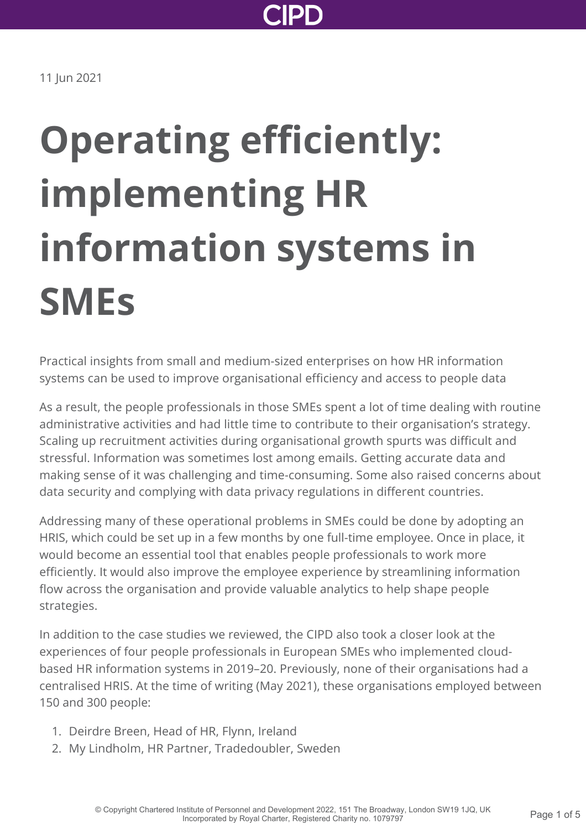

11 Jun 2021

# **Operating efficiently: implementing HR information systems in SMEs**

Practical insights from small and medium-sized enterprises on how HR information systems can be used to improve organisational efficiency and access to people data

As a result, the people professionals in those SMEs spent a lot of time dealing with routine administrative activities and had little time to contribute to their organisation's strategy. Scaling up recruitment activities during organisational growth spurts was difficult and stressful. Information was sometimes lost among emails. Getting accurate data and making sense of it was challenging and time-consuming. Some also raised concerns about data security and complying with data privacy regulations in different countries.

Addressing many of these operational problems in SMEs could be done by adopting an HRIS, which could be set up in a few months by one full-time employee. Once in place, it would become an essential tool that enables people professionals to work more efficiently. It would also improve the employee experience by streamlining information flow across the organisation and provide valuable analytics to help shape people strategies.

In addition to the case studies we reviewed, the CIPD also took a closer look at the experiences of four people professionals in European SMEs who implemented cloudbased HR information systems in 2019–20. Previously, none of their organisations had a centralised HRIS. At the time of writing (May 2021), these organisations employed between 150 and 300 people:

- 1. Deirdre Breen, Head of HR, Flynn, Ireland
- 2. My Lindholm, HR Partner, Tradedoubler, Sweden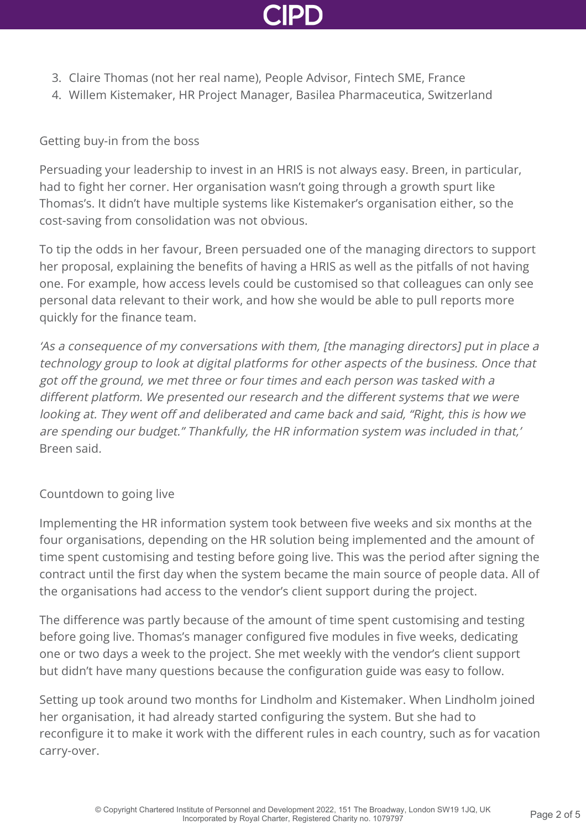

- 3. Claire Thomas (not her real name), People Advisor, Fintech SME, France
- 4. Willem Kistemaker, HR Project Manager, Basilea Pharmaceutica, Switzerland

#### Getting buy-in from the boss

Persuading your leadership to invest in an HRIS is not always easy. Breen, in particular, had to fight her corner. Her organisation wasn't going through a growth spurt like Thomas's. It didn't have multiple systems like Kistemaker's organisation either, so the cost-saving from consolidation was not obvious.

To tip the odds in her favour, Breen persuaded one of the managing directors to support her proposal, explaining the benefits of having a HRIS as well as the pitfalls of not having one. For example, how access levels could be customised so that colleagues can only see personal data relevant to their work, and how she would be able to pull reports more quickly for the finance team.

'As a consequence of my conversations with them, [the managing directors] put in place a technology group to look at digital platforms for other aspects of the business. Once that got off the ground, we met three or four times and each person was tasked with a different platform. We presented our research and the different systems that we were looking at. They went off and deliberated and came back and said, "Right, this is how we are spending our budget." Thankfully, the HR information system was included in that,' Breen said.

# Countdown to going live

Implementing the HR information system took between five weeks and six months at the four organisations, depending on the HR solution being implemented and the amount of time spent customising and testing before going live. This was the period after signing the contract until the first day when the system became the main source of people data. All of the organisations had access to the vendor's client support during the project.

The difference was partly because of the amount of time spent customising and testing before going live. Thomas's manager configured five modules in five weeks, dedicating one or two days a week to the project. She met weekly with the vendor's client support but didn't have many questions because the configuration guide was easy to follow.

Setting up took around two months for Lindholm and Kistemaker. When Lindholm joined her organisation, it had already started configuring the system. But she had to reconfigure it to make it work with the different rules in each country, such as for vacation carry-over.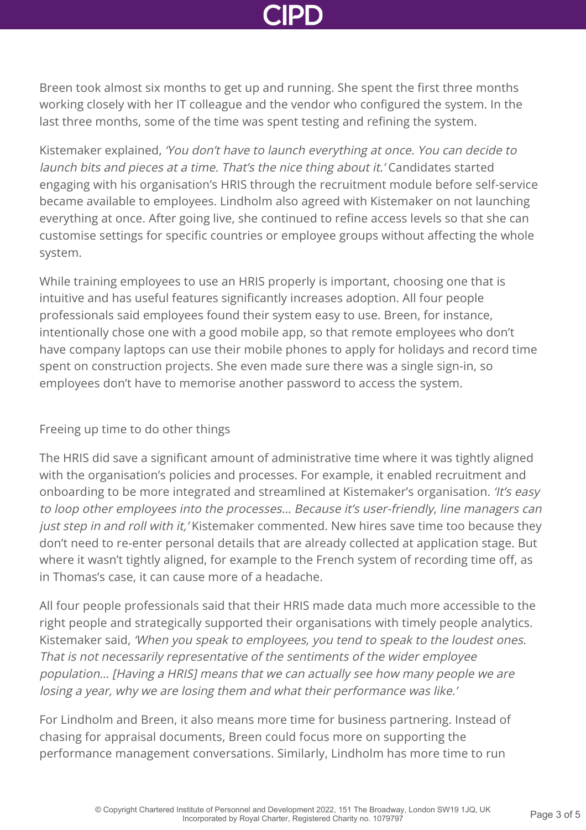Breen took almost six months to get up and running. She spent the first three months working closely with her IT colleague and the vendor who configured the system. In the last three months, some of the time was spent testing and refining the system.

Kistemaker explained, 'You don't have to launch everything at once. You can decide to launch bits and pieces at a time. That's the nice thing about it.' Candidates started engaging with his organisation's HRIS through the recruitment module before self-service became available to employees. Lindholm also agreed with Kistemaker on not launching everything at once. After going live, she continued to refine access levels so that she can customise settings for specific countries or employee groups without affecting the whole system.

While training employees to use an HRIS properly is important, choosing one that is intuitive and has useful features significantly increases adoption. All four people professionals said employees found their system easy to use. Breen, for instance, intentionally chose one with a good mobile app, so that remote employees who don't have company laptops can use their mobile phones to apply for holidays and record time spent on construction projects. She even made sure there was a single sign-in, so employees don't have to memorise another password to access the system.

# Freeing up time to do other things

The HRIS did save a significant amount of administrative time where it was tightly aligned with the organisation's policies and processes. For example, it enabled recruitment and onboarding to be more integrated and streamlined at Kistemaker's organisation. 'It's easy to loop other employees into the processes… Because it's user-friendly, line managers can just step in and roll with it, 'Kistemaker commented. New hires save time too because they don't need to re-enter personal details that are already collected at application stage. But where it wasn't tightly aligned, for example to the French system of recording time off, as in Thomas's case, it can cause more of a headache.

All four people professionals said that their HRIS made data much more accessible to the right people and strategically supported their organisations with timely people analytics. Kistemaker said, 'When you speak to employees, you tend to speak to the loudest ones. That is not necessarily representative of the sentiments of the wider employee population… [Having a HRIS] means that we can actually see how many people we are losing a year, why we are losing them and what their performance was like.'

For Lindholm and Breen, it also means more time for business partnering. Instead of chasing for appraisal documents, Breen could focus more on supporting the performance management conversations. Similarly, Lindholm has more time to run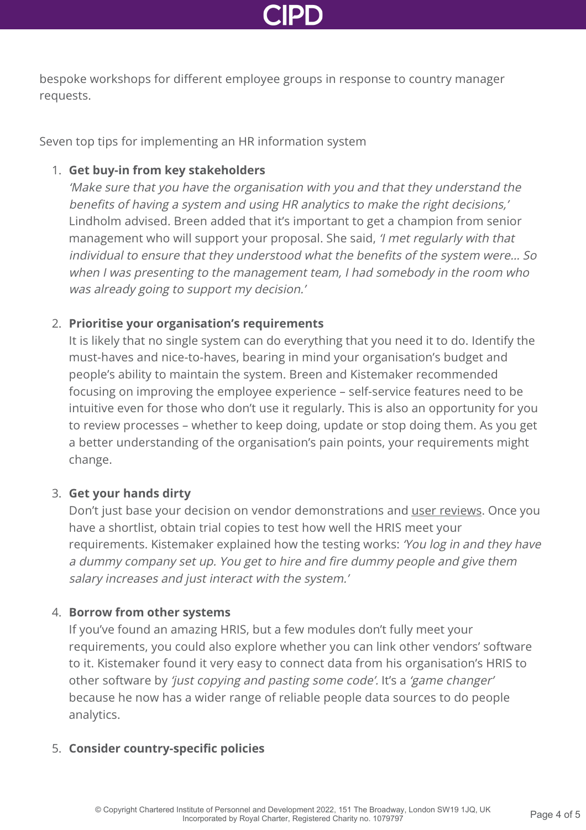

bespoke workshops for different employee groups in response to country manager requests.

Seven top tips for implementing an HR information system

# 1. **Get buy-in from key stakeholders**

'Make sure that you have the organisation with you and that they understand the benefits of having a system and using HR analytics to make the right decisions,' Lindholm advised. Breen added that it's important to get a champion from senior management who will support your proposal. She said, 'I met regularly with that individual to ensure that they understood what the benefits of the system were… So when I was presenting to the management team, I had somebody in the room who was already going to support my decision.'

# 2. **Prioritise your organisation's requirements**

It is likely that no single system can do everything that you need it to do. Identify the must-haves and nice-to-haves, bearing in mind your organisation's budget and people's ability to maintain the system. Breen and Kistemaker recommended focusing on improving the employee experience – self-service features need to be intuitive even for those who don't use it regularly. This is also an opportunity for you to review processes – whether to keep doing, update or stop doing them. As you get a better understanding of the organisation's pain points, your requirements might change.

# 3. **Get your hands dirty**

Don't just base your decision on vendor demonstrations and [user reviews](https://www.capterra.co.uk/directory/5/human-resource/software). Once you have a shortlist, obtain trial copies to test how well the HRIS meet your requirements. Kistemaker explained how the testing works: 'You log in and they have a dummy company set up. You get to hire and fire dummy people and give them salary increases and just interact with the system.'

# 4. **Borrow from other systems**

If you've found an amazing HRIS, but a few modules don't fully meet your requirements, you could also explore whether you can link other vendors' software to it. Kistemaker found it very easy to connect data from his organisation's HRIS to other software by 'just copying and pasting some code'. It's a 'game changer' because he now has a wider range of reliable people data sources to do people analytics.

# 5. **Consider country-specific policies**